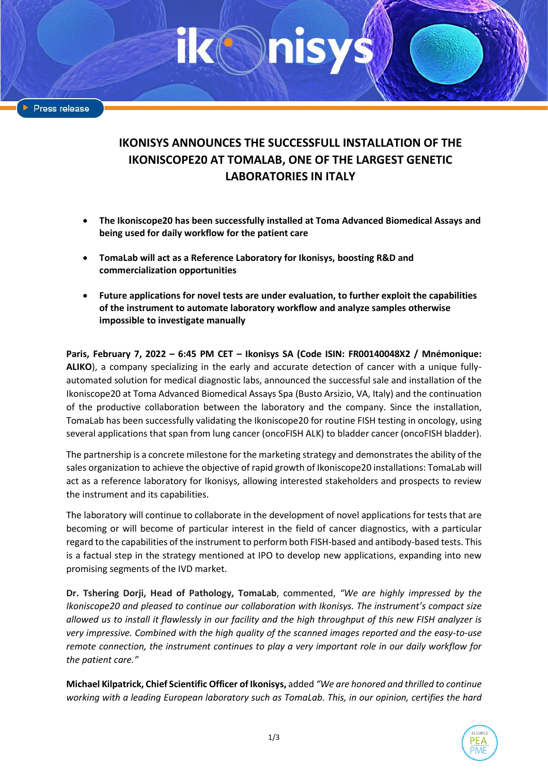Press release

# **IKONISYS ANNOUNCES THE SUCCESSFULL INSTALLATION OF THE IKONISCOPE20 AT TOMALAB, ONE OF THE LARGEST GENETIC LABORATORIES IN ITALY**

- **The Ikoniscope20 has been successfully installed at Toma Advanced Biomedical Assays and being used for daily workflow for the patient care**
- **TomaLab will act as a Reference Laboratory for Ikonisys, boosting R&D and commercialization opportunities**
- **Future applications for novel tests are under evaluation, to further exploit the capabilities of the instrument to automate laboratory workflow and analyze samples otherwise impossible to investigate manually**

**Paris, February 7, 2022 – 6:45 PM CET – Ikonisys SA (Code ISIN: FR00140048X2 / Mnémonique: ALIKO**), a company specializing in the early and accurate detection of cancer with a unique fullyautomated solution for medical diagnostic labs, announced the successful sale and installation of the Ikoniscope20 at Toma Advanced Biomedical Assays Spa (Busto Arsizio, VA, Italy) and the continuation of the productive collaboration between the laboratory and the company. Since the installation, TomaLab has been successfully validating the Ikoniscope20 for routine FISH testing in oncology, using several applications that span from lung cancer (oncoFISH ALK) to bladder cancer (oncoFISH bladder).

The partnership is a concrete milestone for the marketing strategy and demonstrates the ability of the sales organization to achieve the objective of rapid growth of Ikoniscope20 installations: TomaLab will act as a reference laboratory for Ikonisys, allowing interested stakeholders and prospects to review the instrument and its capabilities.

The laboratory will continue to collaborate in the development of novel applications for tests that are becoming or will become of particular interest in the field of cancer diagnostics, with a particular regard to the capabilities of the instrument to perform both FISH-based and antibody-based tests. This is a factual step in the strategy mentioned at IPO to develop new applications, expanding into new promising segments of the IVD market.

**Dr. Tshering Dorji, Head of Pathology, TomaLab**, commented, *"We are highly impressed by the Ikoniscope20 and pleased to continue our collaboration with Ikonisys. The instrument's compact size allowed us to install it flawlessly in our facility and the high throughput of this new FISH analyzer is very impressive. Combined with the high quality of the scanned images reported and the easy-to-use remote connection, the instrument continues to play a very important role in our daily workflow for the patient care."*

**Michael Kilpatrick, Chief Scientific Officer of Ikonisys,** added *"We are honored and thrilled to continue working with a leading European laboratory such as TomaLab. This, in our opinion, certifies the hard*

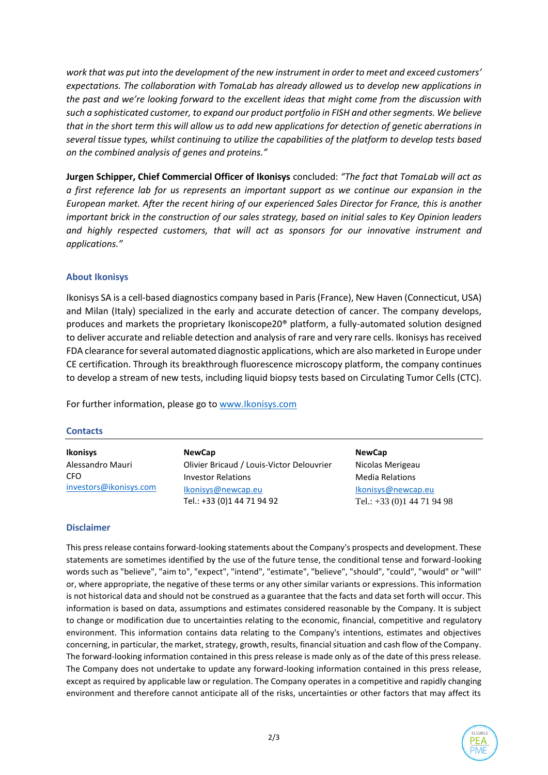*work that was put into the development of the new instrument in order to meet and exceed customers' expectations. The collaboration with TomaLab has already allowed us to develop new applications in the past and we're looking forward to the excellent ideas that might come from the discussion with such a sophisticated customer, to expand our product portfolio in FISH and other segments. We believe that in the short term this will allow us to add new applications for detection of genetic aberrations in several tissue types, whilst continuing to utilize the capabilities of the platform to develop tests based on the combined analysis of genes and proteins."*

**Jurgen Schipper, Chief Commercial Officer of Ikonisys** concluded: *"The fact that TomaLab will act as a first reference lab for us represents an important support as we continue our expansion in the European market. After the recent hiring of our experienced Sales Director for France, this is another important brick in the construction of our sales strategy, based on initial sales to Key Opinion leaders and highly respected customers, that will act as sponsors for our innovative instrument and applications."*

# **About Ikonisys**

Ikonisys SA is a cell-based diagnostics company based in Paris (France), New Haven (Connecticut, USA) and Milan (Italy) specialized in the early and accurate detection of cancer. The company develops, produces and markets the proprietary Ikoniscope20® platform, a fully-automated solution designed to deliver accurate and reliable detection and analysis of rare and very rare cells. Ikonisys has received FDA clearance for several automated diagnostic applications, which are also marketed in Europe under CE certification. Through its breakthrough fluorescence microscopy platform, the company continues to develop a stream of new tests, including liquid biopsy tests based on Circulating Tumor Cells (CTC).

For further information, please go to [www.Ikonisys.com](http://www.ikonisys.com/)

### **Contacts**

| <b>Ikonisys</b>        | <b>NewCap</b>                                    | <b>NewCap</b>                                 |
|------------------------|--------------------------------------------------|-----------------------------------------------|
| Alessandro Mauri       | Olivier Bricaud / Louis-Victor Delouvrier        | Nicolas Merigeau                              |
| CFO                    | <b>Investor Relations</b>                        | <b>Media Relations</b>                        |
| investors@ikonisys.com | Ikonisys@newcap.eu<br>Tel.: +33 (0)1 44 71 94 92 | Ikonisys@newcap.eu<br>Tel.: $+33(0)144719498$ |

## **Disclaimer**

This press release contains forward-looking statements about the Company's prospects and development. These statements are sometimes identified by the use of the future tense, the conditional tense and forward-looking words such as "believe", "aim to", "expect", "intend", "estimate", "believe", "should", "could", "would" or "will" or, where appropriate, the negative of these terms or any other similar variants or expressions. This information is not historical data and should not be construed as a guarantee that the facts and data set forth will occur. This information is based on data, assumptions and estimates considered reasonable by the Company. It is subject to change or modification due to uncertainties relating to the economic, financial, competitive and regulatory environment. This information contains data relating to the Company's intentions, estimates and objectives concerning, in particular, the market, strategy, growth, results, financial situation and cash flow of the Company. The forward-looking information contained in this press release is made only as of the date of this press release. The Company does not undertake to update any forward-looking information contained in this press release, except as required by applicable law or regulation. The Company operates in a competitive and rapidly changing environment and therefore cannot anticipate all of the risks, uncertainties or other factors that may affect its